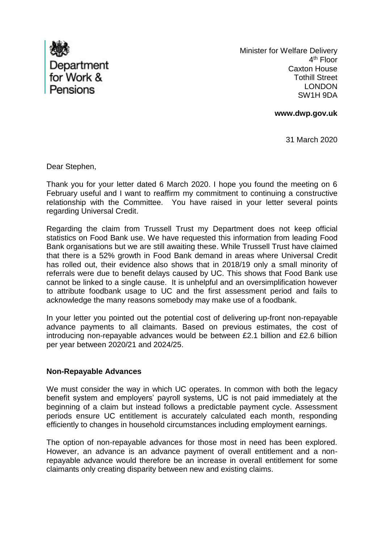

 Minister for Welfare Delivery 4<sup>th</sup> Floor Caxton House Tothill Street LONDON SW1H 9DA

**www.dwp.gov.uk**

31 March 2020

Dear Stephen,

Thank you for your letter dated 6 March 2020. I hope you found the meeting on 6 February useful and I want to reaffirm my commitment to continuing a constructive relationship with the Committee. You have raised in your letter several points regarding Universal Credit.

Regarding the claim from Trussell Trust my Department does not keep official statistics on Food Bank use. We have requested this information from leading Food Bank organisations but we are still awaiting these. While Trussell Trust have claimed that there is a 52% growth in Food Bank demand in areas where Universal Credit has rolled out, their evidence also shows that in 2018/19 only a small minority of referrals were due to benefit delays caused by UC. This shows that Food Bank use cannot be linked to a single cause. It is unhelpful and an oversimplification however to attribute foodbank usage to UC and the first assessment period and fails to acknowledge the many reasons somebody may make use of a foodbank.

In your letter you pointed out the potential cost of delivering up-front non-repayable advance payments to all claimants. Based on previous estimates, the cost of introducing non-repayable advances would be between £2.1 billion and £2.6 billion per year between 2020/21 and 2024/25.

### **Non-Repayable Advances**

We must consider the way in which UC operates. In common with both the legacy benefit system and employers' payroll systems, UC is not paid immediately at the beginning of a claim but instead follows a predictable payment cycle. Assessment periods ensure UC entitlement is accurately calculated each month, responding efficiently to changes in household circumstances including employment earnings.

The option of non-repayable advances for those most in need has been explored. However, an advance is an advance payment of overall entitlement and a nonrepayable advance would therefore be an increase in overall entitlement for some claimants only creating disparity between new and existing claims.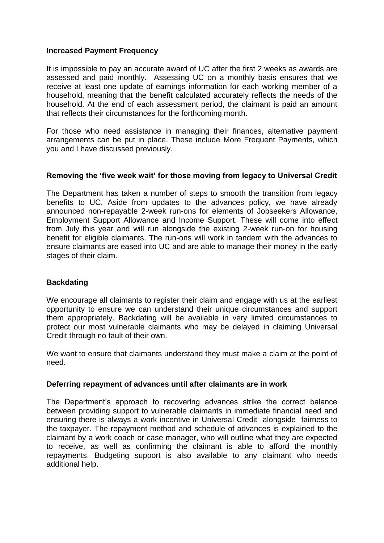## **Increased Payment Frequency**

It is impossible to pay an accurate award of UC after the first 2 weeks as awards are assessed and paid monthly. Assessing UC on a monthly basis ensures that we receive at least one update of earnings information for each working member of a household, meaning that the benefit calculated accurately reflects the needs of the household. At the end of each assessment period, the claimant is paid an amount that reflects their circumstances for the forthcoming month.

For those who need assistance in managing their finances, alternative payment arrangements can be put in place. These include More Frequent Payments, which you and I have discussed previously.

# **Removing the 'five week wait' for those moving from legacy to Universal Credit**

The Department has taken a number of steps to smooth the transition from legacy benefits to UC. Aside from updates to the advances policy, we have already announced non-repayable 2-week run-ons for elements of Jobseekers Allowance, Employment Support Allowance and Income Support. These will come into effect from July this year and will run alongside the existing 2-week run-on for housing benefit for eligible claimants. The run-ons will work in tandem with the advances to ensure claimants are eased into UC and are able to manage their money in the early stages of their claim.

# **Backdating**

We encourage all claimants to register their claim and engage with us at the earliest opportunity to ensure we can understand their unique circumstances and support them appropriately. Backdating will be available in very limited circumstances to protect our most vulnerable claimants who may be delayed in claiming Universal Credit through no fault of their own.

We want to ensure that claimants understand they must make a claim at the point of need.

### **Deferring repayment of advances until after claimants are in work**

The Department's approach to recovering advances strike the correct balance between providing support to vulnerable claimants in immediate financial need and ensuring there is always a work incentive in Universal Credit alongside fairness to the taxpayer. The repayment method and schedule of advances is explained to the claimant by a work coach or case manager, who will outline what they are expected to receive, as well as confirming the claimant is able to afford the monthly repayments. Budgeting support is also available to any claimant who needs additional help.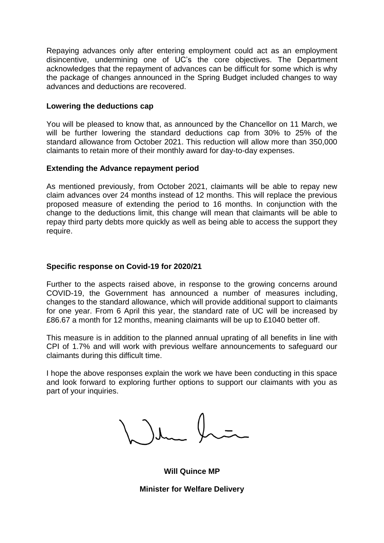Repaying advances only after entering employment could act as an employment disincentive, undermining one of UC's the core objectives. The Department acknowledges that the repayment of advances can be difficult for some which is why the package of changes announced in the Spring Budget included changes to way advances and deductions are recovered.

# **Lowering the deductions cap**

You will be pleased to know that, as announced by the Chancellor on 11 March, we will be further lowering the standard deductions cap from 30% to 25% of the standard allowance from October 2021. This reduction will allow more than 350,000 claimants to retain more of their monthly award for day-to-day expenses.

## **Extending the Advance repayment period**

As mentioned previously, from October 2021, claimants will be able to repay new claim advances over 24 months instead of 12 months. This will replace the previous proposed measure of extending the period to 16 months. In conjunction with the change to the deductions limit, this change will mean that claimants will be able to repay third party debts more quickly as well as being able to access the support they require.

## **Specific response on Covid-19 for 2020/21**

Further to the aspects raised above, in response to the growing concerns around COVID-19, the Government has announced a number of measures including, changes to the standard allowance, which will provide additional support to claimants for one year. From 6 April this year, the standard rate of UC will be increased by £86.67 a month for 12 months, meaning claimants will be up to £1040 better off.

This measure is in addition to the planned annual uprating of all benefits in line with CPI of 1.7% and will work with previous welfare announcements to safeguard our claimants during this difficult time.

I hope the above responses explain the work we have been conducting in this space and look forward to exploring further options to support our claimants with you as part of your inquiries.

**Will Quince MP**

**Minister for Welfare Delivery**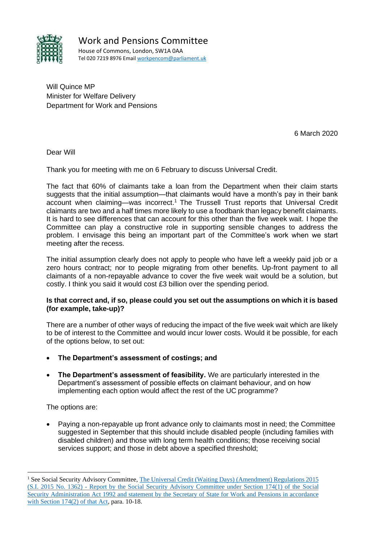

Will Quince MP Minister for Welfare Delivery Department for Work and Pensions

6 March 2020

Dear Will

Thank you for meeting with me on 6 February to discuss Universal Credit.

The fact that 60% of claimants take a loan from the Department when their claim starts suggests that the initial assumption—that claimants would have a month's pay in their bank account when claiming—was incorrect.<sup>1</sup> The Trussell Trust reports that Universal Credit claimants are two and a half times more likely to use a foodbank than legacy benefit claimants. It is hard to see differences that can account for this other than the five week wait. I hope the Committee can play a constructive role in supporting sensible changes to address the problem. I envisage this being an important part of the Committee's work when we start meeting after the recess.

The initial assumption clearly does not apply to people who have left a weekly paid job or a zero hours contract; nor to people migrating from other benefits. Up-front payment to all claimants of a non-repayable advance to cover the five week wait would be a solution, but costly. I think you said it would cost £3 billion over the spending period.

### **Is that correct and, if so, please could you set out the assumptions on which it is based (for example, take-up)?**

There are a number of other ways of reducing the impact of the five week wait which are likely to be of interest to the Committee and would incur lower costs. Would it be possible, for each of the options below, to set out:

- **The Department's assessment of costings; and**
- **The Department's assessment of feasibility.** We are particularly interested in the Department's assessment of possible effects on claimant behaviour, and on how implementing each option would affect the rest of the UC programme?

The options are:

• Paying a non-repayable up front advance only to claimants most in need; the Committee suggested in September that this should include disabled people (including families with disabled children) and those with long term health conditions; those receiving social services support; and those in debt above a specified threshold;

<sup>&</sup>lt;sup>1</sup> See Social Security Advisory Committee, The Universal Credit (Waiting Days) [\(Amendment\)](https://assets.publishing.service.gov.uk/government/uploads/system/uploads/attachment_data/file/434281/universal-credit-waiting-days-report.pdf) Regulations 2015 (S.I. 2015 No. 1362) - [Report by the Social Security Advisory Committee under Section 174\(1\) of the](https://assets.publishing.service.gov.uk/government/uploads/system/uploads/attachment_data/file/434281/universal-credit-waiting-days-report.pdf) Social [Security Administration Act 1992 and statement by the Secretary of State for Work and Pensions in accordance](https://assets.publishing.service.gov.uk/government/uploads/system/uploads/attachment_data/file/434281/universal-credit-waiting-days-report.pdf) [with Section 174\(2\) of that Act, p](https://assets.publishing.service.gov.uk/government/uploads/system/uploads/attachment_data/file/434281/universal-credit-waiting-days-report.pdf)ara. 10-18.